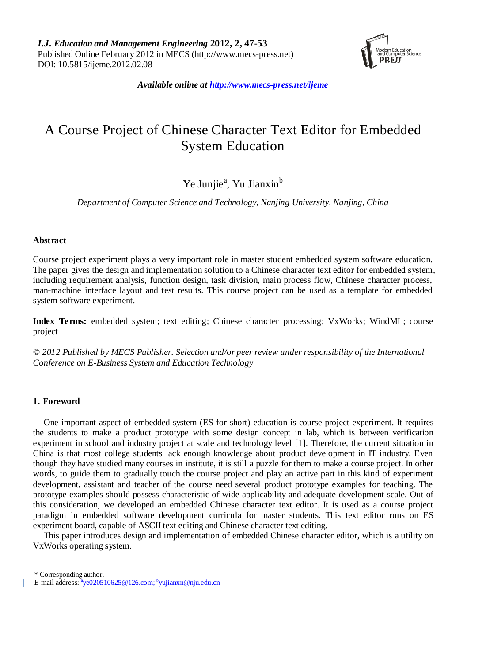

*Available online at http://www.mecs-press.net/ijeme*

# A Course Project of Chinese Character Text Editor for Embedded System Education

# Ye Junjie<sup>a</sup>, Yu Jianxin<sup>b</sup>

*Department of Computer Science and Technology, Nanjing University, Nanjing, China*

### **Abstract**

Course project experiment plays a very important role in master student embedded system software education. The paper gives the design and implementation solution to a Chinese character text editor for embedded system, including requirement analysis, function design, task division, main process flow, Chinese character process, man-machine interface layout and test results. This course project can be used as a template for embedded system software experiment.

**Index Terms:** embedded system; text editing; Chinese character processing; VxWorks; WindML; course project

*© 2012 Published by MECS Publisher. Selection and/or peer review under responsibility of the International Conference on E-Business System and Education Technology*

# **1. Foreword**

One important aspect of embedded system (ES for short) education is course project experiment. It requires the students to make a product prototype with some design concept in lab, which is between verification experiment in school and industry project at scale and technology level [1]. Therefore, the current situation in China is that most college students lack enough knowledge about product development in IT industry. Even though they have studied many courses in institute, it is still a puzzle for them to make a course project. In other words, to guide them to gradually touch the course project and play an active part in this kind of experiment development, assistant and teacher of the course need several product prototype examples for teaching. The prototype examples should possess characteristic of wide applicability and adequate development scale. Out of this consideration, we developed an embedded Chinese character text editor. It is used as a course project paradigm in embedded software development curricula for master students. This text editor runs on ES experiment board, capable of ASCII text editing and Chinese character text editing.

This paper introduces design and implementation of embedded Chinese character editor, which is a utility on VxWorks operating system.

\* Corresponding author.

E-mail address: <sup>a</sup>[ye020510625@126.com;](mailto:ye020510625@126.com) <sup>b</sup>[yujianxn@nju.edu.cn](mailto:yujianxn@nju.edu.cn)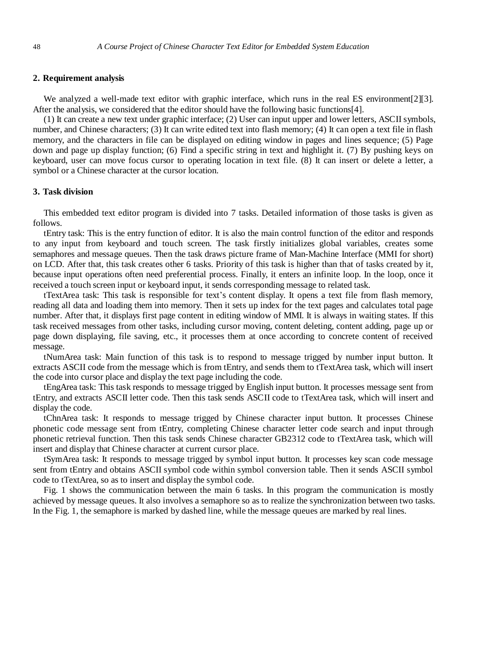#### **2. Requirement analysis**

We analyzed a well-made text editor with graphic interface, which runs in the real ES environment[2][3]. After the analysis, we considered that the editor should have the following basic functions[4].

(1) It can create a new text under graphic interface; (2) User can input upper and lower letters, ASCII symbols, number, and Chinese characters; (3) It can write edited text into flash memory; (4) It can open a text file in flash memory, and the characters in file can be displayed on editing window in pages and lines sequence; (5) Page down and page up display function; (6) Find a specific string in text and highlight it. (7) By pushing keys on keyboard, user can move focus cursor to operating location in text file. (8) It can insert or delete a letter, a symbol or a Chinese character at the cursor location.

#### **3. Task division**

This embedded text editor program is divided into 7 tasks. Detailed information of those tasks is given as follows.

tEntry task: This is the entry function of editor. It is also the main control function of the editor and responds to any input from keyboard and touch screen. The task firstly initializes global variables, creates some semaphores and message queues. Then the task draws picture frame of Man-Machine Interface (MMI for short) on LCD. After that, this task creates other 6 tasks. Priority of this task is higher than that of tasks created by it, because input operations often need preferential process. Finally, it enters an infinite loop. In the loop, once it received a touch screen input or keyboard input, it sends corresponding message to related task.

tTextArea task: This task is responsible for text's content display. It opens a text file from flash memory, reading all data and loading them into memory. Then it sets up index for the text pages and calculates total page number. After that, it displays first page content in editing window of MMI. It is always in waiting states. If this task received messages from other tasks, including cursor moving, content deleting, content adding, page up or page down displaying, file saving, etc., it processes them at once according to concrete content of received message.

tNumArea task: Main function of this task is to respond to message trigged by number input button. It extracts ASCII code from the message which is from tEntry, and sends them to tTextArea task, which will insert the code into cursor place and display the text page including the code.

tEngArea task: This task responds to message trigged by English input button. It processes message sent from tEntry, and extracts ASCII letter code. Then this task sends ASCII code to tTextArea task, which will insert and display the code.

tChnArea task: It responds to message trigged by Chinese character input button. It processes Chinese phonetic code message sent from tEntry, completing Chinese character letter code search and input through phonetic retrieval function. Then this task sends Chinese character GB2312 code to tTextArea task, which will insert and display that Chinese character at current cursor place.

tSymArea task: It responds to message trigged by symbol input button. It processes key scan code message sent from tEntry and obtains ASCII symbol code within symbol conversion table. Then it sends ASCII symbol code to tTextArea, so as to insert and display the symbol code.

Fig. 1 shows the communication between the main 6 tasks. In this program the communication is mostly achieved by message queues. It also involves a [semaphore](http://dict.bing.com.cn/#semaphore) so as to realize the synchronization between two tasks. In the Fig. 1, the semaphore is marked by dashed line, while the message queues are marked by real [lines](http://dict.bing.com.cn/#line).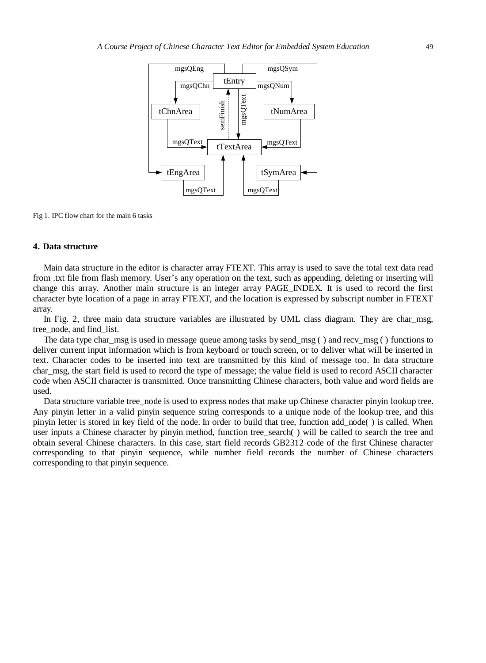

Fig 1. IPC flow chart for the main 6 tasks

#### **4. Data structure**

Main data structure in the editor is character array FTEXT. This array is used to save the total text data read from .txt file from flash memory. User's any operation on the text, such as appending, deleting or inserting will change this array. Another main structure is an integer array PAGE\_INDEX. It is used to record the first character byte location of a page in array FTEXT, and the location is expressed by subscript number in FTEXT array.

In Fig. 2, three main data structure variables are illustrated by UML class diagram. They are char\_msg, tree\_node, and find\_list.

The data type char msg is used in message queue among tasks by send  $msg( )$  and recv $msg( )$  functions to deliver current input information which is from keyboard or touch screen, or to deliver what will be inserted in text. Character codes to be inserted into text are transmitted by this kind of message too. In data structure char msg, the start field is used to record the type of message; the value field is used to record ASCII character code when ASCII character is transmitted. Once transmitting Chinese characters, both value and word fields are used.

Data structure variable tree\_node is used to express nodes that make up Chinese character pinyin lookup tree. Any pinyin letter in a valid pinyin sequence string corresponds to a unique node of the lookup tree, and this pinyin letter is stored in key field of the node. In order to build that tree, function add\_node( ) is called. When user inputs a Chinese character by pinyin method, function tree\_search() will be called to search the tree and obtain several Chinese characters. In this case, start field records GB2312 code of the first Chinese character corresponding to that pinyin sequence, while number field records the number of Chinese characters corresponding to that pinyin sequence.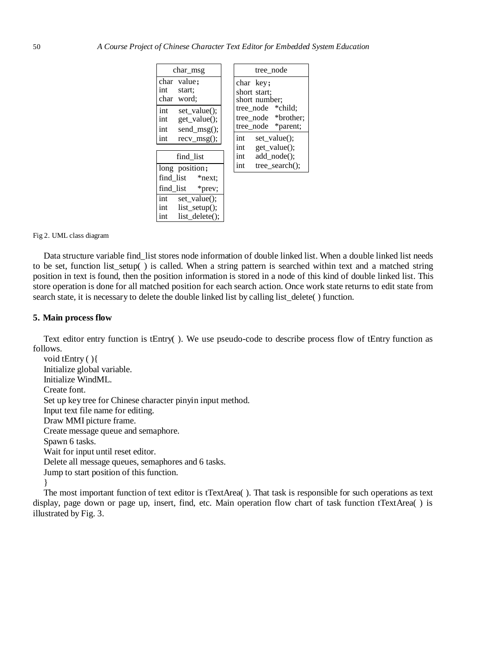| $char_{\text{msg}}$                                                                                   | tree node                                                                                                    |
|-------------------------------------------------------------------------------------------------------|--------------------------------------------------------------------------------------------------------------|
| value:<br>char<br>int<br>start;<br>char word;                                                         | char key:<br>short start:<br>short number;<br>tree_node *child;<br>tree node *brother;<br>tree node *parent: |
| set value();<br>int<br>int<br>get_value();<br>int<br>send_msg();                                      |                                                                                                              |
| int<br>$recv_msg()$ ;                                                                                 | set_value();<br>int<br>get_value();<br>int                                                                   |
| find list                                                                                             | $add\_node()$ ;<br>int                                                                                       |
| long position;<br>find list *next;<br>find list<br>*prev;                                             | $tree search()$ :<br>int                                                                                     |
| $\overline{\text{int}}$<br>set value $()$ ;<br>int<br>$list _{setup}($ :<br>list delete $()$ :<br>int |                                                                                                              |

Fig 2. UML class diagram

Data structure variable find list stores node information of double linked list. When a double linked list needs to be set, function list\_setup( ) is called. When a string pattern is searched within text and a matched string position in text is found, then the position information is stored in a node of this kind of double linked list. This store operation is done for all matched position for each search action. Once work state returns to edit state from search state, it is necessary to delete the double linked list by calling list\_delete( ) function.

#### **5. Main process flow**

Text editor entry function is tEntry( ). We use pseudo-code to describe process flow of tEntry function as follows.

void tEntry ( ){ Initialize global variable. Initialize WindML. Create font. Set up key tree for Chinese character pinyin input method. Input text file name for editing. Draw MMI picture frame. Create message queue and semaphore. Spawn 6 tasks. Wait for input until reset editor. Delete all message queues, semaphores and 6 tasks. Jump to start position of this function.

}

The most important function of text editor is tTextArea( ). That task is responsible for such operations as text display, page down or page up, insert, find, etc. Main operation flow chart of task function tTextArea( ) is illustrated by Fig. 3.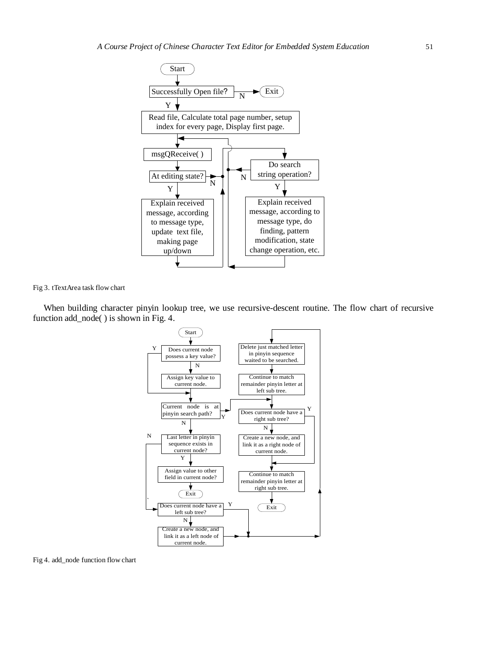

Fig 3. tTextArea task flow chart

When building character pinyin lookup tree, we use recursive-descent routine. The flow chart of recursive function add\_node( ) is shown in Fig. 4.



Fig 4. add\_node function flow chart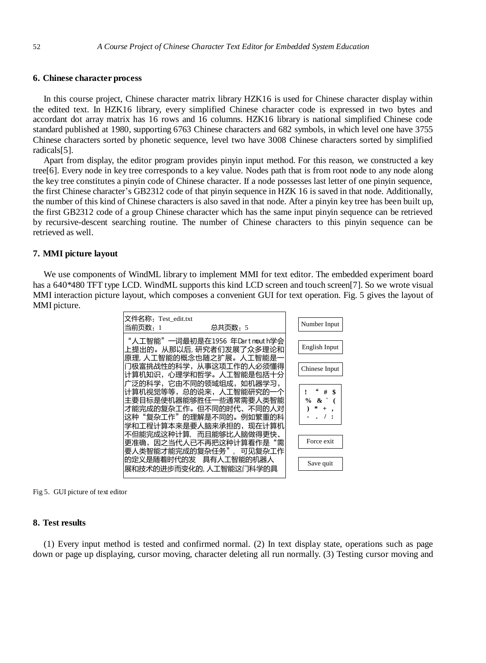#### **6. Chinese character process**

In this course project, Chinese character matrix library HZK16 is used for Chinese character display within the edited text. In HZK16 library, every simplified Chinese character code is expressed in two bytes and accordant dot array matrix has 16 rows and 16 columns. HZK16 library is national simplified Chinese code standard published at 1980, supporting 6763 Chinese characters and 682 symbols, in which level one have 3755 Chinese characters sorted by phonetic sequence, level two have 3008 Chinese characters sorted by simplified radicals[5].

Apart from display, the editor program provides pinyin input method. For this reason, we constructed a key tree[6]. Every node in key tree corresponds to a key value. Nodes path that is from root node to any node along the key tree constitutes a pinyin code of Chinese character. If a node possesses last letter of one pinyin sequence, the first Chinese character's GB2312 code of that pinyin sequence in HZK 16 is saved in that node. Additionally, the number of this kind of Chinese characters is also saved in that node. After a pinyin key tree has been built up, the first GB2312 code of a group Chinese character which has the same input pinyin sequence can be retrieved by recursive-descent searching routine. The number of Chinese characters to this pinyin sequence can be retrieved as well.

#### **7. MMI picture layout**

We use components of WindML library to implement MMI for text editor. The embedded experiment board has a 640\*480 TFT type LCD. WindML supports this kind LCD screen and touch screen[7]. So we wrote visual MMI interaction picture layout, which composes a convenient GUI for text operation. Fig. 5 gives the layout of MMI picture.



Fig 5. GUI picture of text editor

#### **8. Test results**

(1) Every input method is tested and confirmed normal. (2) In text display state, operations such as page down or page up displaying, cursor moving, character deleting all run normally. (3) Testing cursor moving and